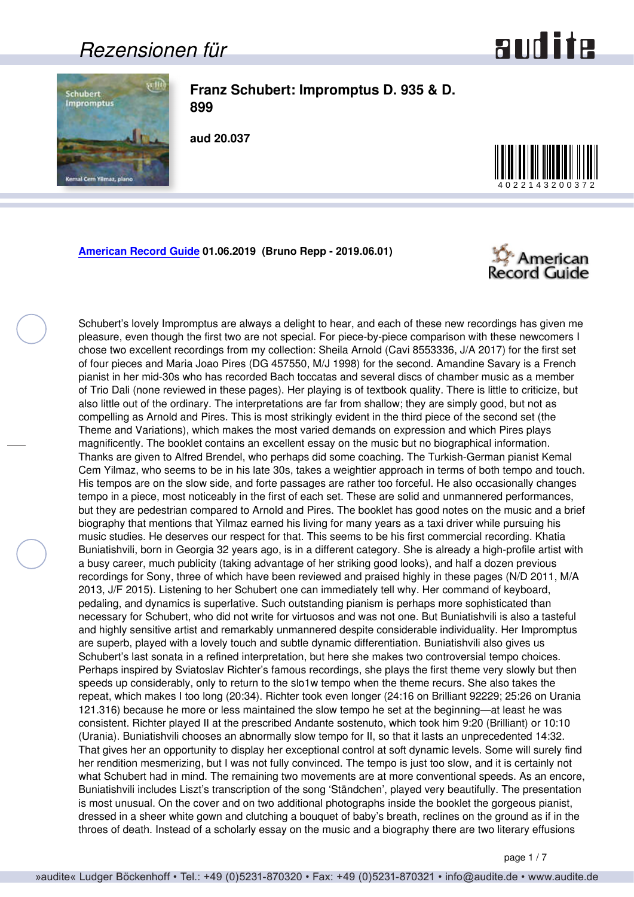#### <span id="page-0-0"></span>*Rezensionen für*





**Franz Schubert: Impromptus D. 935 & D. 899**

**aud 20.037**



**[American Record Guide](http://www.americanrecordguide.com) 01.06.2019 (Bruno Repp - 2019.06.01)**



Schubert's lovely Impromptus are always a delight to hear, and each of these new recordings has given me pleasure, even though the first two are not special. For piece-by-piece comparison with these newcomers I chose two excellent recordings from my collection: Sheila Arnold (Cavi 8553336, J/A 2017) for the first set of four pieces and Maria Joao Pires (DG 457550, M/J 1998) for the second. Amandine Savary is a French pianist in her mid-30s who has recorded Bach toccatas and several discs of chamber music as a member of Trio Dali (none reviewed in these pages). Her playing is of textbook quality. There is little to criticize, but also little out of the ordinary. The interpretations are far from shallow; they are simply good, but not as compelling as Arnold and Pires. This is most strikingly evident in the third piece of the second set (the Theme and Variations), which makes the most varied demands on expression and which Pires plays magnificently. The booklet contains an excellent essay on the music but no biographical information. Thanks are given to Alfred Brendel, who perhaps did some coaching. The Turkish-German pianist Kemal Cem Yilmaz, who seems to be in his late 30s, takes a weightier approach in terms of both tempo and touch. His tempos are on the slow side, and forte passages are rather too forceful. He also occasionally changes tempo in a piece, most noticeably in the first of each set. These are solid and unmannered performances, but they are pedestrian compared to Arnold and Pires. The booklet has good notes on the music and a brief biography that mentions that Yilmaz earned his living for many years as a taxi driver while pursuing his music studies. He deserves our respect for that. This seems to be his first commercial recording. Khatia Buniatishvili, born in Georgia 32 years ago, is in a different category. She is already a high-profile artist with a busy career, much publicity (taking advantage of her striking good looks), and half a dozen previous recordings for Sony, three of which have been reviewed and praised highly in these pages (N/D 2011, M/A 2013, J/F 2015). Listening to her Schubert one can immediately tell why. Her command of keyboard, pedaling, and dynamics is superlative. Such outstanding pianism is perhaps more sophisticated than necessary for Schubert, who did not write for virtuosos and was not one. But Buniatishvili is also a tasteful and highly sensitive artist and remarkably unmannered despite considerable individuality. Her Impromptus are superb, played with a lovely touch and subtle dynamic differentiation. Buniatishvili also gives us Schubert's last sonata in a refined interpretation, but here she makes two controversial tempo choices. Perhaps inspired by Sviatoslav Richter's famous recordings, she plays the first theme very slowly but then speeds up considerably, only to return to the slo1w tempo when the theme recurs. She also takes the repeat, which makes I too long (20:34). Richter took even longer (24:16 on Brilliant 92229; 25:26 on Urania 121.316) because he more or less maintained the slow tempo he set at the beginning—at least he was consistent. Richter played II at the prescribed Andante sostenuto, which took him 9:20 (Brilliant) or 10:10 (Urania). Buniatishvili chooses an abnormally slow tempo for II, so that it lasts an unprecedented 14:32. That gives her an opportunity to display her exceptional control at soft dynamic levels. Some will surely find her rendition mesmerizing, but I was not fully convinced. The tempo is just too slow, and it is certainly not what Schubert had in mind. The remaining two movements are at more conventional speeds. As an encore, Buniatishvili includes Liszt's transcription of the song 'Ständchen', played very beautifully. The presentation is most unusual. On the cover and on two additional photographs inside the booklet the gorgeous pianist, dressed in a sheer white gown and clutching a bouquet of baby's breath, reclines on the ground as if in the throes of death. Instead of a scholarly essay on the music and a biography there are two literary effusions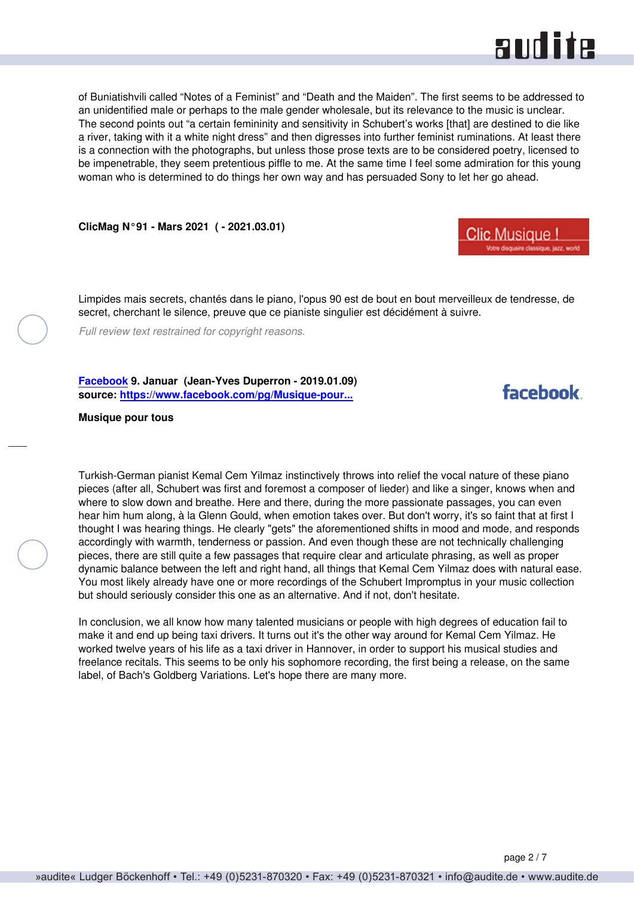

<span id="page-1-0"></span>of Buniatishvili called "Notes of a Feminist" and "Death and the Maiden". The first seems to be addressed to an unidentified male or perhaps to the male gender wholesale, but its relevance to the music is unclear. The second points out "a certain femininity and sensitivity in Schubert's works [that] are destined to die like a river, taking with it a white night dress" and then digresses into further feminist ruminations. At least there is a connection with the photographs, but unless those prose texts are to be considered poetry, licensed to be impenetrable, they seem pretentious piffle to me. At the same time I feel some admiration for this young woman who is determined to do things her own way and has persuaded Sony to let her go ahead.

**ClicMag N°91 - Mars 2021 ( - 2021.03.01)**



Limpides mais secrets, chantés dans le piano, l'opus 90 est de bout en bout merveilleux de tendresse, de secret, cherchant le silence, preuve que ce pianiste singulier est décidément à suivre.

*Full review text restrained for copyright reasons.*

**[Facebook](https://www.facebook.com) 9. Januar (Jean-Yves Duperron - 2019.01.09) source: [https://www.facebook.com/pg/Musique-pour...](https://www.facebook.com/pg/Musique-pour-tous-256938057847879/posts/)**

#### facebook

#### **Musique pour tous**

Turkish-German pianist Kemal Cem Yilmaz instinctively throws into relief the vocal nature of these piano pieces (after all, Schubert was first and foremost a composer of lieder) and like a singer, knows when and where to slow down and breathe. Here and there, during the more passionate passages, you can even hear him hum along, à la Glenn Gould, when emotion takes over. But don't worry, it's so faint that at first I thought I was hearing things. He clearly "gets" the aforementioned shifts in mood and mode, and responds accordingly with warmth, tenderness or passion. And even though these are not technically challenging pieces, there are still quite a few passages that require clear and articulate phrasing, as well as proper dynamic balance between the left and right hand, all things that Kemal Cem Yilmaz does with natural ease. You most likely already have one or more recordings of the Schubert Impromptus in your music collection but should seriously consider this one as an alternative. And if not, don't hesitate.

In conclusion, we all know how many talented musicians or people with high degrees of education fail to make it and end up being taxi drivers. It turns out it's the other way around for Kemal Cem Yilmaz. He worked twelve years of his life as a taxi driver in Hannover, in order to support his musical studies and freelance recitals. This seems to be only his sophomore recording, the first being a release, on the same label, of Bach's Goldberg Variations. Let's hope there are many more.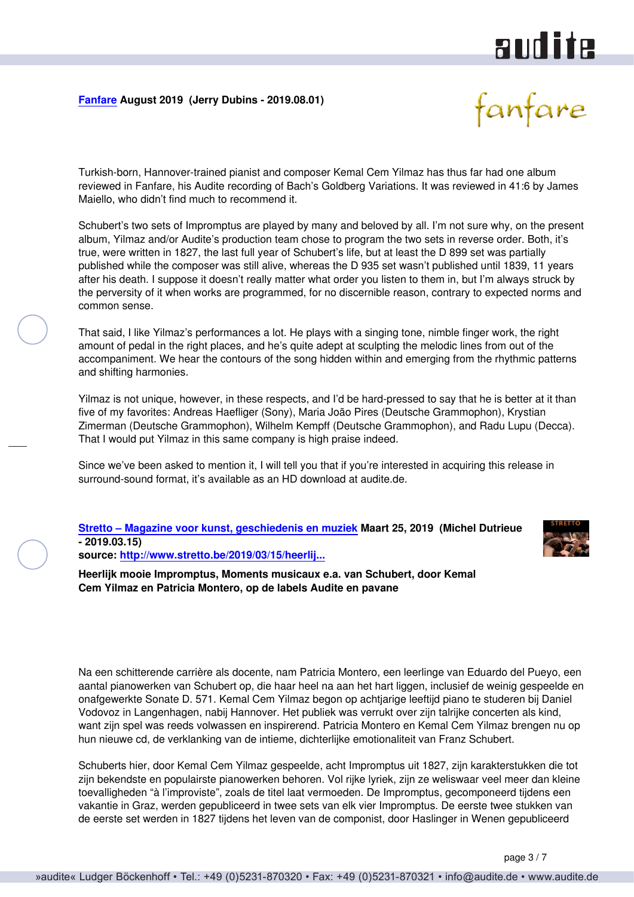## audite

#### <span id="page-2-0"></span>**[Fanfare](http://www.fanfaremag.com/) August 2019 (Jerry Dubins - 2019.08.01)**



Turkish-born, Hannover-trained pianist and composer Kemal Cem Yilmaz has thus far had one album reviewed in Fanfare, his Audite recording of Bach's Goldberg Variations. It was reviewed in 41:6 by James Maiello, who didn't find much to recommend it.

Schubert's two sets of Impromptus are played by many and beloved by all. I'm not sure why, on the present album, Yilmaz and/or Audite's production team chose to program the two sets in reverse order. Both, it's true, were written in 1827, the last full year of Schubert's life, but at least the D 899 set was partially published while the composer was still alive, whereas the D 935 set wasn't published until 1839, 11 years after his death. I suppose it doesn't really matter what order you listen to them in, but I'm always struck by the perversity of it when works are programmed, for no discernible reason, contrary to expected norms and common sense.

That said, I like Yilmaz's performances a lot. He plays with a singing tone, nimble finger work, the right amount of pedal in the right places, and he's quite adept at sculpting the melodic lines from out of the accompaniment. We hear the contours of the song hidden within and emerging from the rhythmic patterns and shifting harmonies.

Yilmaz is not unique, however, in these respects, and I'd be hard-pressed to say that he is better at it than five of my favorites: Andreas Haefliger (Sony), Maria João Pires (Deutsche Grammophon), Krystian Zimerman (Deutsche Grammophon), Wilhelm Kempff (Deutsche Grammophon), and Radu Lupu (Decca). That I would put Yilmaz in this same company is high praise indeed.

Since we've been asked to mention it, I will tell you that if you're interested in acquiring this release in surround-sound format, it's available as an HD download at audite.de.

**[Stretto – Magazine voor kunst, geschiedenis en muziek](http://www.stretto.be) Maart 25, 2019 (Michel Dutrieue - 2019.03.15) source: [http://www.stretto.be/2019/03/15/heerlij...](http://www.stretto.be/2019/03/15/heerlijk-mooie-impromptus-moments-musicaux-e-a-van-schubert-door-kemal-cem-yilmaz-en-patricia-m)**



**Heerlijk mooie Impromptus, Moments musicaux e.a. van Schubert, door Kemal Cem Yilmaz en Patricia Montero, op de labels Audite en pavane**

Na een schitterende carrière als docente, nam Patricia Montero, een leerlinge van Eduardo del Pueyo, een aantal pianowerken van Schubert op, die haar heel na aan het hart liggen, inclusief de weinig gespeelde en onafgewerkte Sonate D. 571. Kemal Cem Yilmaz begon op achtjarige leeftijd piano te studeren bij Daniel Vodovoz in Langenhagen, nabij Hannover. Het publiek was verrukt over zijn talrijke concerten als kind, want zijn spel was reeds volwassen en inspirerend. Patricia Montero en Kemal Cem Yilmaz brengen nu op hun nieuwe cd, de verklanking van de intieme, dichterlijke emotionaliteit van Franz Schubert.

Schuberts hier, door Kemal Cem Yilmaz gespeelde, acht Impromptus uit 1827, zijn karakterstukken die tot zijn bekendste en populairste pianowerken behoren. Vol rijke lyriek, zijn ze weliswaar veel meer dan kleine toevalligheden "à l'improviste", zoals de titel laat vermoeden. De Impromptus, gecomponeerd tijdens een vakantie in Graz, werden gepubliceerd in twee sets van elk vier Impromptus. De eerste twee stukken van de eerste set werden in 1827 tijdens het leven van de componist, door Haslinger in Wenen gepubliceerd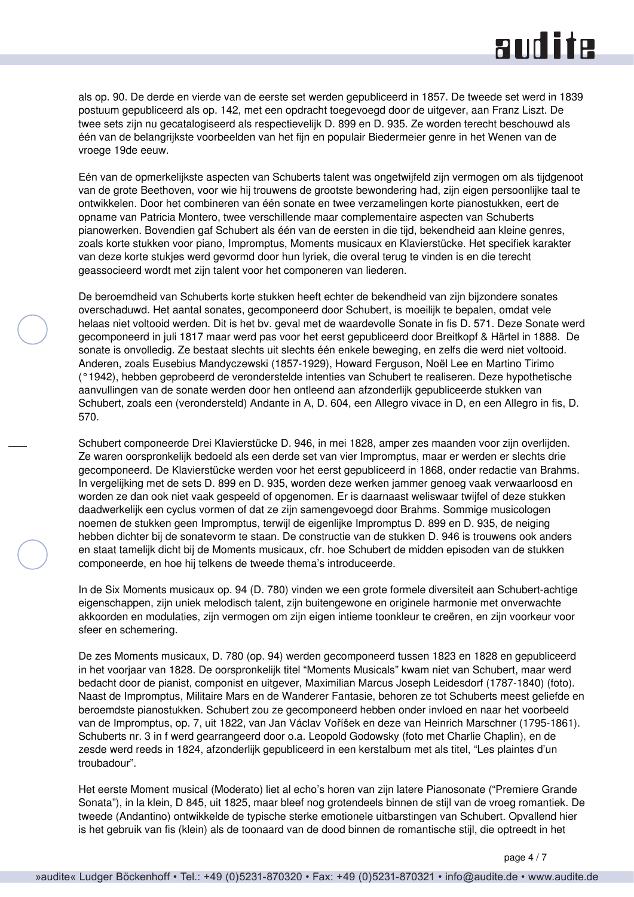### **RUD ite**

als op. 90. De derde en vierde van de eerste set werden gepubliceerd in 1857. De tweede set werd in 1839 postuum gepubliceerd als op. 142, met een opdracht toegevoegd door de uitgever, aan Franz Liszt. De twee sets zijn nu gecatalogiseerd als respectievelijk D. 899 en D. 935. Ze worden terecht beschouwd als één van de belangrijkste voorbeelden van het fijn en populair Biedermeier genre in het Wenen van de vroege 19de eeuw.

Eén van de opmerkelijkste aspecten van Schuberts talent was ongetwijfeld zijn vermogen om als tijdgenoot van de grote Beethoven, voor wie hij trouwens de grootste bewondering had, zijn eigen persoonlijke taal te ontwikkelen. Door het combineren van één sonate en twee verzamelingen korte pianostukken, eert de opname van Patricia Montero, twee verschillende maar complementaire aspecten van Schuberts pianowerken. Bovendien gaf Schubert als één van de eersten in die tijd, bekendheid aan kleine genres, zoals korte stukken voor piano, Impromptus, Moments musicaux en Klavierstücke. Het specifiek karakter van deze korte stukjes werd gevormd door hun lyriek, die overal terug te vinden is en die terecht geassocieerd wordt met zijn talent voor het componeren van liederen.

De beroemdheid van Schuberts korte stukken heeft echter de bekendheid van zijn bijzondere sonates overschaduwd. Het aantal sonates, gecomponeerd door Schubert, is moeilijk te bepalen, omdat vele helaas niet voltooid werden. Dit is het bv. geval met de waardevolle Sonate in fis D. 571. Deze Sonate werd gecomponeerd in juli 1817 maar werd pas voor het eerst gepubliceerd door Breitkopf & Härtel in 1888. De sonate is onvolledig. Ze bestaat slechts uit slechts één enkele beweging, en zelfs die werd niet voltooid. Anderen, zoals Eusebius Mandyczewski (1857-1929), Howard Ferguson, Noël Lee en Martino Tirimo (°1942), hebben geprobeerd de veronderstelde intenties van Schubert te realiseren. Deze hypothetische aanvullingen van de sonate werden door hen ontleend aan afzonderlijk gepubliceerde stukken van Schubert, zoals een (verondersteld) Andante in A, D. 604, een Allegro vivace in D, en een Allegro in fis, D. 570.

Schubert componeerde Drei Klavierstücke D. 946, in mei 1828, amper zes maanden voor zijn overlijden. Ze waren oorspronkelijk bedoeld als een derde set van vier Impromptus, maar er werden er slechts drie gecomponeerd. De Klavierstücke werden voor het eerst gepubliceerd in 1868, onder redactie van Brahms. In vergelijking met de sets D. 899 en D. 935, worden deze werken jammer genoeg vaak verwaarloosd en worden ze dan ook niet vaak gespeeld of opgenomen. Er is daarnaast weliswaar twijfel of deze stukken daadwerkelijk een cyclus vormen of dat ze zijn samengevoegd door Brahms. Sommige musicologen noemen de stukken geen Impromptus, terwijl de eigenlijke Impromptus D. 899 en D. 935, de neiging hebben dichter bij de sonatevorm te staan. De constructie van de stukken D. 946 is trouwens ook anders en staat tamelijk dicht bij de Moments musicaux, cfr. hoe Schubert de midden episoden van de stukken componeerde, en hoe hij telkens de tweede thema's introduceerde.

In de Six Moments musicaux op. 94 (D. 780) vinden we een grote formele diversiteit aan Schubert-achtige eigenschappen, zijn uniek melodisch talent, zijn buitengewone en originele harmonie met onverwachte akkoorden en modulaties, zijn vermogen om zijn eigen intieme toonkleur te creëren, en zijn voorkeur voor sfeer en schemering.

De zes Moments musicaux, D. 780 (op. 94) werden gecomponeerd tussen 1823 en 1828 en gepubliceerd in het voorjaar van 1828. De oorspronkelijk titel "Moments Musicals" kwam niet van Schubert, maar werd bedacht door de pianist, componist en uitgever, Maximilian Marcus Joseph Leidesdorf (1787-1840) (foto). Naast de Impromptus, Militaire Mars en de Wanderer Fantasie, behoren ze tot Schuberts meest geliefde en beroemdste pianostukken. Schubert zou ze gecomponeerd hebben onder invloed en naar het voorbeeld van de Impromptus, op. 7, uit 1822, van Jan Václav Voříšek en deze van Heinrich Marschner (1795-1861). Schuberts nr. 3 in f werd gearrangeerd door o.a. Leopold Godowsky (foto met Charlie Chaplin), en de zesde werd reeds in 1824, afzonderlijk gepubliceerd in een kerstalbum met als titel, "Les plaintes d'un troubadour".

Het eerste Moment musical (Moderato) liet al echo's horen van zijn latere Pianosonate ("Premiere Grande Sonata"), in la klein, D 845, uit 1825, maar bleef nog grotendeels binnen de stijl van de vroeg romantiek. De tweede (Andantino) ontwikkelde de typische sterke emotionele uitbarstingen van Schubert. Opvallend hier is het gebruik van fis (klein) als de toonaard van de dood binnen de romantische stijl, die optreedt in het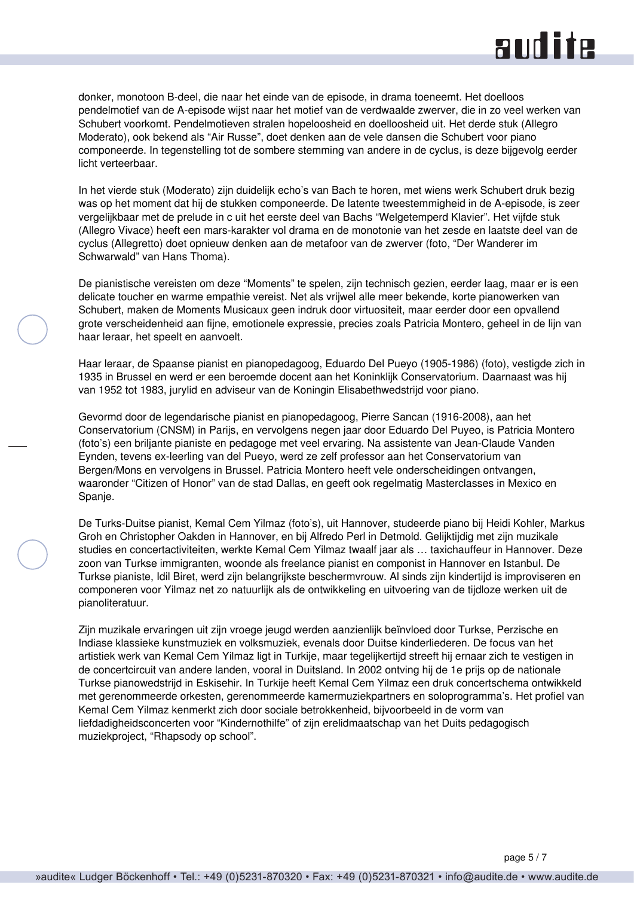### **RUD ite**

donker, monotoon B-deel, die naar het einde van de episode, in drama toeneemt. Het doelloos pendelmotief van de A-episode wijst naar het motief van de verdwaalde zwerver, die in zo veel werken van Schubert voorkomt. Pendelmotieven stralen hopeloosheid en doelloosheid uit. Het derde stuk (Allegro Moderato), ook bekend als "Air Russe", doet denken aan de vele dansen die Schubert voor piano componeerde. In tegenstelling tot de sombere stemming van andere in de cyclus, is deze bijgevolg eerder licht verteerbaar.

In het vierde stuk (Moderato) zijn duidelijk echo's van Bach te horen, met wiens werk Schubert druk bezig was op het moment dat hij de stukken componeerde. De latente tweestemmigheid in de A-episode, is zeer vergelijkbaar met de prelude in c uit het eerste deel van Bachs "Welgetemperd Klavier". Het vijfde stuk (Allegro Vivace) heeft een mars-karakter vol drama en de monotonie van het zesde en laatste deel van de cyclus (Allegretto) doet opnieuw denken aan de metafoor van de zwerver (foto, "Der Wanderer im Schwarwald" van Hans Thoma).

De pianistische vereisten om deze "Moments" te spelen, zijn technisch gezien, eerder laag, maar er is een delicate toucher en warme empathie vereist. Net als vrijwel alle meer bekende, korte pianowerken van Schubert, maken de Moments Musicaux geen indruk door virtuositeit, maar eerder door een opvallend grote verscheidenheid aan fijne, emotionele expressie, precies zoals Patricia Montero, geheel in de lijn van haar leraar, het speelt en aanvoelt.

Haar leraar, de Spaanse pianist en pianopedagoog, Eduardo Del Pueyo (1905-1986) (foto), vestigde zich in 1935 in Brussel en werd er een beroemde docent aan het Koninklijk Conservatorium. Daarnaast was hij van 1952 tot 1983, jurylid en adviseur van de Koningin Elisabethwedstrijd voor piano.

Gevormd door de legendarische pianist en pianopedagoog, Pierre Sancan (1916-2008), aan het Conservatorium (CNSM) in Parijs, en vervolgens negen jaar door Eduardo Del Puyeo, is Patricia Montero (foto's) een briljante pianiste en pedagoge met veel ervaring. Na assistente van Jean-Claude Vanden Eynden, tevens ex-leerling van del Pueyo, werd ze zelf professor aan het Conservatorium van Bergen/Mons en vervolgens in Brussel. Patricia Montero heeft vele onderscheidingen ontvangen, waaronder "Citizen of Honor" van de stad Dallas, en geeft ook regelmatig Masterclasses in Mexico en Spanje.

De Turks-Duitse pianist, Kemal Cem Yilmaz (foto's), uit Hannover, studeerde piano bij Heidi Kohler, Markus Groh en Christopher Oakden in Hannover, en bij Alfredo Perl in Detmold. Gelijktijdig met zijn muzikale studies en concertactiviteiten, werkte Kemal Cem Yilmaz twaalf jaar als … taxichauffeur in Hannover. Deze zoon van Turkse immigranten, woonde als freelance pianist en componist in Hannover en Istanbul. De Turkse pianiste, Idil Biret, werd zijn belangrijkste beschermvrouw. Al sinds zijn kindertijd is improviseren en componeren voor Yilmaz net zo natuurlijk als de ontwikkeling en uitvoering van de tijdloze werken uit de pianoliteratuur.

Zijn muzikale ervaringen uit zijn vroege jeugd werden aanzienlijk beïnvloed door Turkse, Perzische en Indiase klassieke kunstmuziek en volksmuziek, evenals door Duitse kinderliederen. De focus van het artistiek werk van Kemal Cem Yilmaz ligt in Turkije, maar tegelijkertijd streeft hij ernaar zich te vestigen in de concertcircuit van andere landen, vooral in Duitsland. In 2002 ontving hij de 1e prijs op de nationale Turkse pianowedstrijd in Eskisehir. In Turkije heeft Kemal Cem Yilmaz een druk concertschema ontwikkeld met gerenommeerde orkesten, gerenommeerde kamermuziekpartners en soloprogramma's. Het profiel van Kemal Cem Yilmaz kenmerkt zich door sociale betrokkenheid, bijvoorbeeld in de vorm van liefdadigheidsconcerten voor "Kindernothilfe" of zijn erelidmaatschap van het Duits pedagogisch muziekproject, "Rhapsody op school".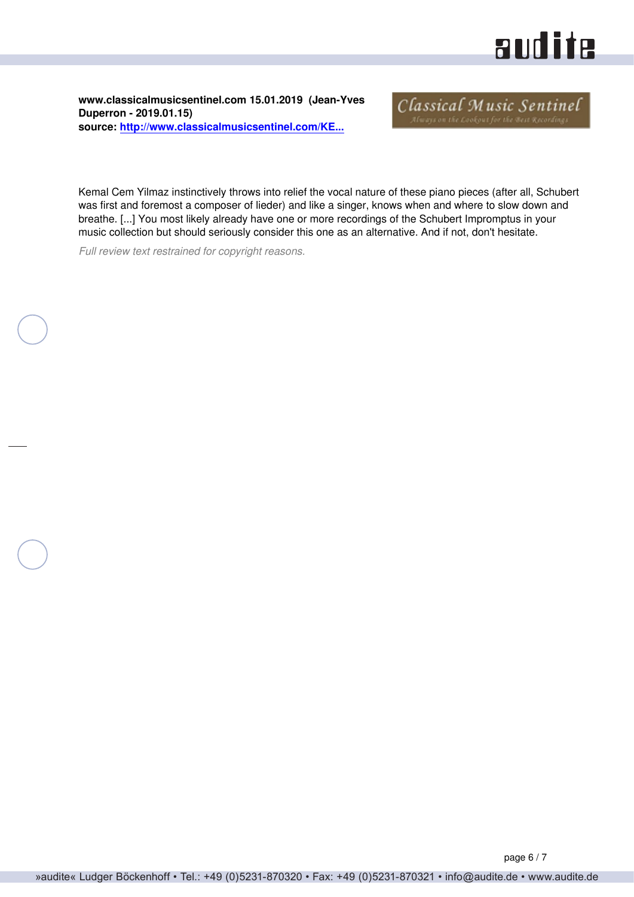## aud ita

<span id="page-5-0"></span>**www.classicalmusicsentinel.com 15.01.2019 (Jean-Yves Duperron - 2019.01.15) source: [http://www.classicalmusicsentinel.com/KE...](http://www.classicalmusicsentinel.com/KEEP/schubert-yilmaz.html)**

Classical Music Sentinel

Kemal Cem Yilmaz instinctively throws into relief the vocal nature of these piano pieces (after all, Schubert was first and foremost a composer of lieder) and like a singer, knows when and where to slow down and breathe. [...] You most likely already have one or more recordings of the Schubert Impromptus in your music collection but should seriously consider this one as an alternative. And if not, don't hesitate.

*Full review text restrained for copyright reasons.*